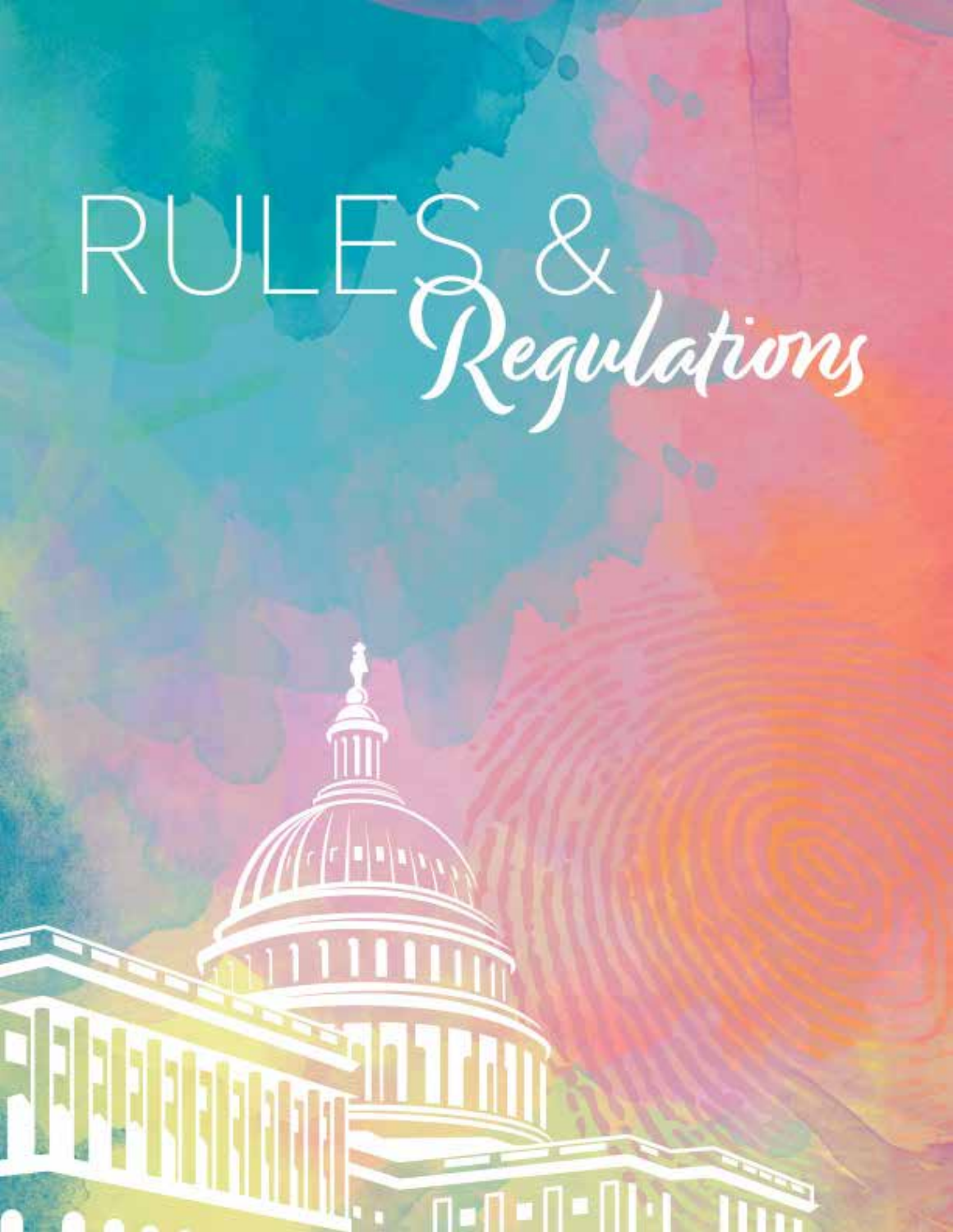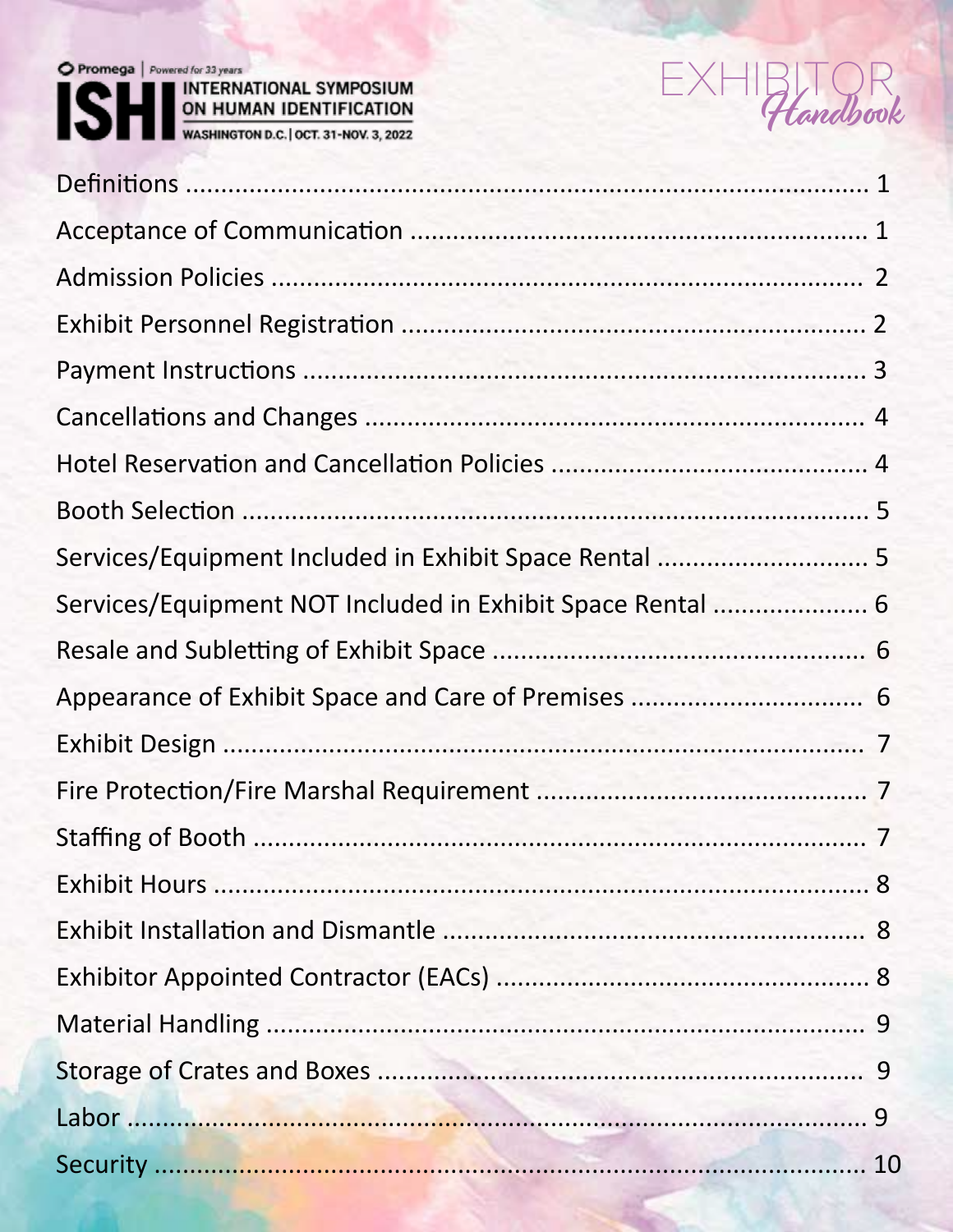# Promega | Powered for 33 years SHI INTERNATIONAL SYMPOSIUM<br>WASHINGTON D.C. | OCT. 31-NOV. 3, 2022



| Services/Equipment NOT Included in Exhibit Space Rental  6 |  |
|------------------------------------------------------------|--|
|                                                            |  |
|                                                            |  |
|                                                            |  |
|                                                            |  |
|                                                            |  |
|                                                            |  |
|                                                            |  |
|                                                            |  |
|                                                            |  |
|                                                            |  |
|                                                            |  |
|                                                            |  |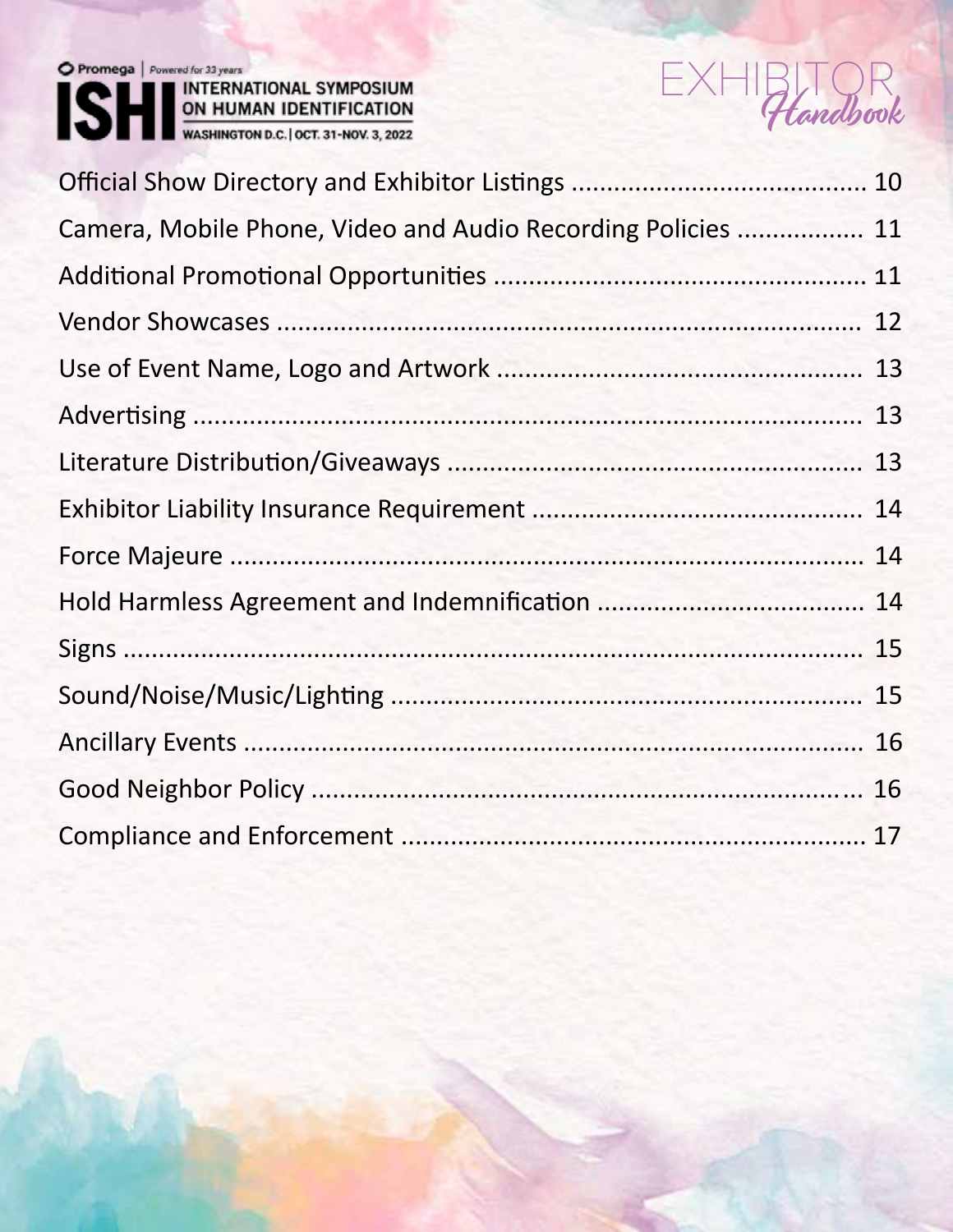

Promega | Powered for 33 years<br>
MINTERNATIONAL SYMPOSIUM<br>
ON HUMAN IDENTIFICATION<br>
WASHINGTON D.C. | OCT. 31-NOV. 3, 2022



| Camera, Mobile Phone, Video and Audio Recording Policies  11 |  |
|--------------------------------------------------------------|--|
|                                                              |  |
|                                                              |  |
|                                                              |  |
|                                                              |  |
|                                                              |  |
|                                                              |  |
|                                                              |  |
|                                                              |  |
|                                                              |  |
|                                                              |  |
|                                                              |  |
|                                                              |  |
|                                                              |  |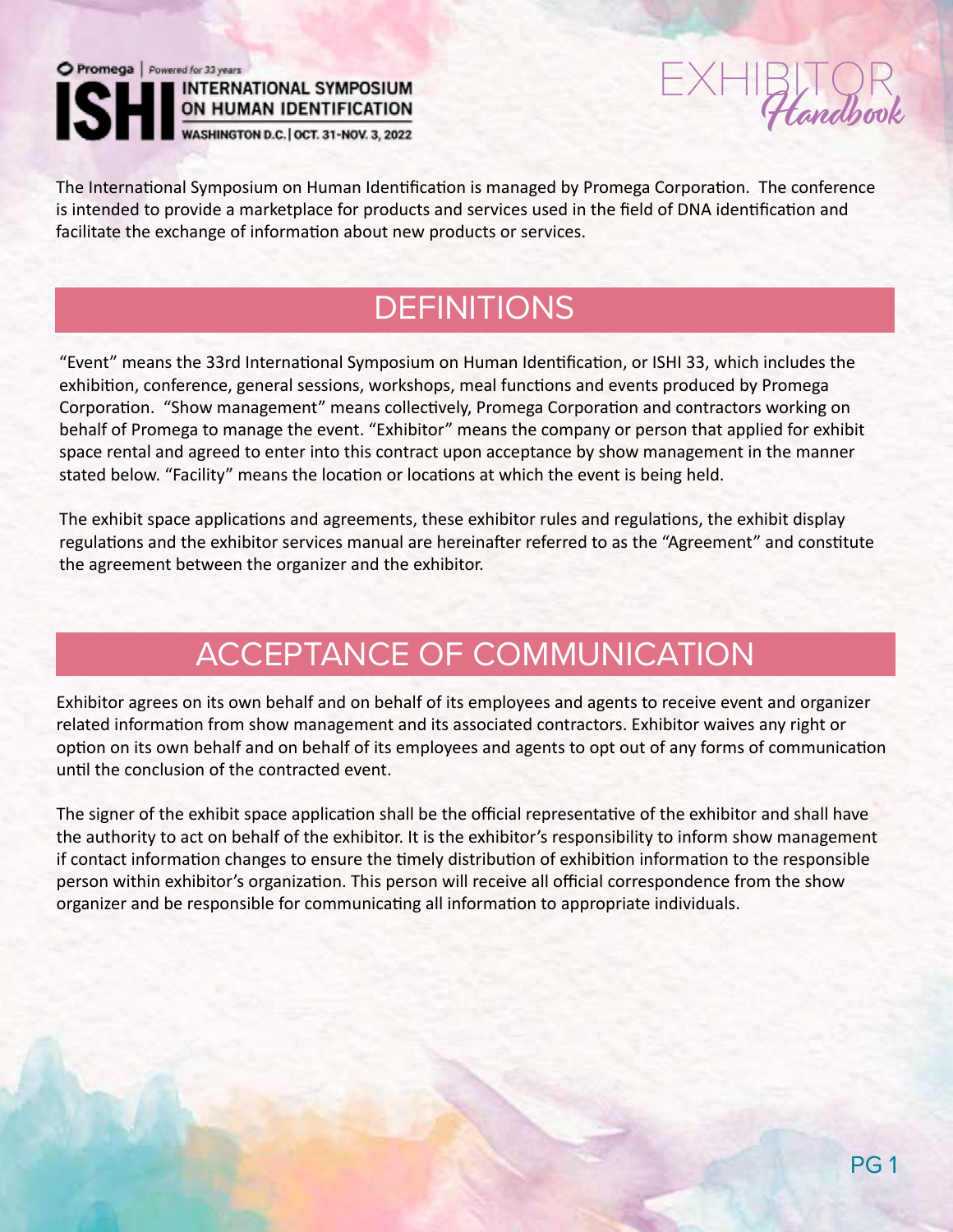



The International Symposium on Human Identification is managed by Promega Corporation. The conference is intended to provide a marketplace for products and services used in the field of DNA identification and facilitate the exchange of information about new products or services.

# **DEFINITIONS**

"Event" means the 33rd International Symposium on Human Identification, or ISHI 33, which includes the exhibition, conference, general sessions, workshops, meal functions and events produced by Promega Corporation. "Show management" means collectively, Promega Corporation and contractors working on behalf of Promega to manage the event. "Exhibitor" means the company or person that applied for exhibit space rental and agreed to enter into this contract upon acceptance by show management in the manner stated below. "Facility" means the location or locations at which the event is being held.

The exhibit space applications and agreements, these exhibitor rules and regulations, the exhibit display regulations and the exhibitor services manual are hereinafter referred to as the "Agreement" and constitute the agreement between the organizer and the exhibitor.

# ACCEPTANCE OF COMMUNICATION

Exhibitor agrees on its own behalf and on behalf of its employees and agents to receive event and organizer related information from show management and its associated contractors. Exhibitor waives any right or option on its own behalf and on behalf of its employees and agents to opt out of any forms of communication until the conclusion of the contracted event.

The signer of the exhibit space application shall be the official representative of the exhibitor and shall have the authority to act on behalf of the exhibitor. It is the exhibitor's responsibility to inform show management if contact information changes to ensure the timely distribution of exhibition information to the responsible person within exhibitor's organization. This person will receive all official correspondence from the show organizer and be responsible for communicating all information to appropriate individuals.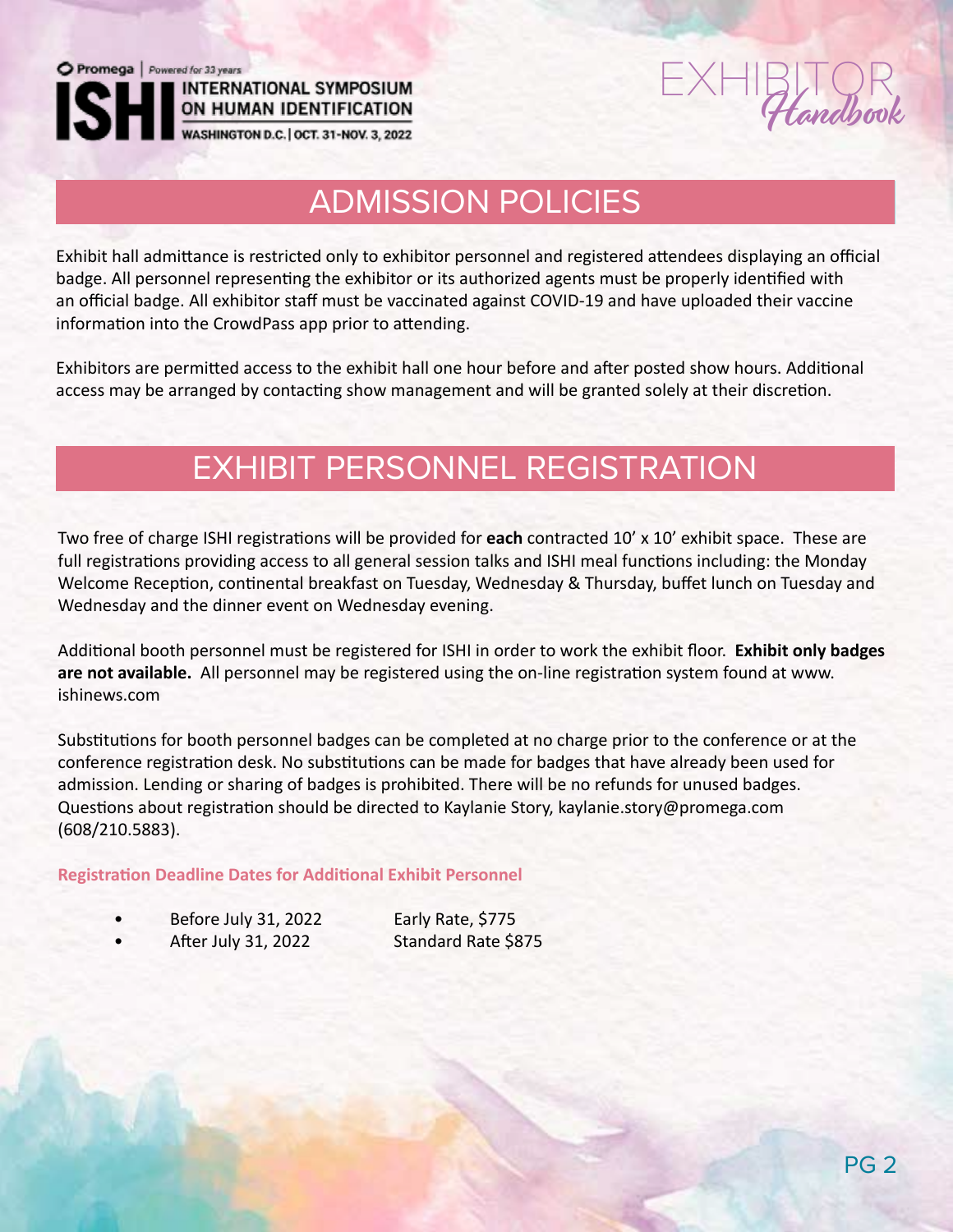

# EXHIBITOR Handbook

ON HUMAN IDENTIFICATION<br>WASHINGTON D.C. | OCT. 31-NOV. 3, 2022

**INTERNATIONAL SYMPOSIUM** 

#### Your exhibit pass allows you full access to the general session talks and networking events like the Welcome t<br>The Welcome talks and networking events like the Welcome talks and networking events like the Welcome talks an Reception and Offsite Dinner event on Wednesday at the Glass Cactus N ADMISSION POLICIES

Exhibit hall admittance is restricted only to exhibitor personnel and registered attendees displaying an official badge. All personnel representing the exhibitor or its authorized agents must be properly identified with an official badge. All exhibitor staff must be vaccinated against COVID-19 and have uploaded their vaccine information into the CrowdPass app prior to attending.

Exhibitors are permitted access to the exhibit hall one hour before and after posted show hours. Additional access may be arranged by contacting show management and will be granted solely at their discretion.

## EXHIBIT PERSONNEL REGISTRATION

Two free of charge ISHI registrations will be provided for **each** contracted 10' x 10' exhibit space. These are full registrations providing access to all general session talks and ISHI meal functions including: the Monday Welcome Reception, continental breakfast on Tuesday, Wednesday & Thursday, buffet lunch on Tuesday and Wednesday and the dinner event on Wednesday evening.

Additional booth personnel must be registered for ISHI in order to work the exhibit floor. **Exhibit only badges are not available.** All personnel may be registered using the on-line registration system found at www. ishinews.com

Substitutions for booth personnel badges can be completed at no charge prior to the conference or at the conference registration desk. No substitutions can be made for badges that have already been used for admission. Lending or sharing of badges is prohibited. There will be no refunds for unused badges. Questions about registration should be directed to Kaylanie Story, kaylanie.story@promega.com (608/210.5883).

#### **Registration Deadline Dates for Additional Exhibit Personnel**

| Before July 31, 2022 | Early Rate, \$775   |
|----------------------|---------------------|
| After July 31, 2022  | Standard Rate \$875 |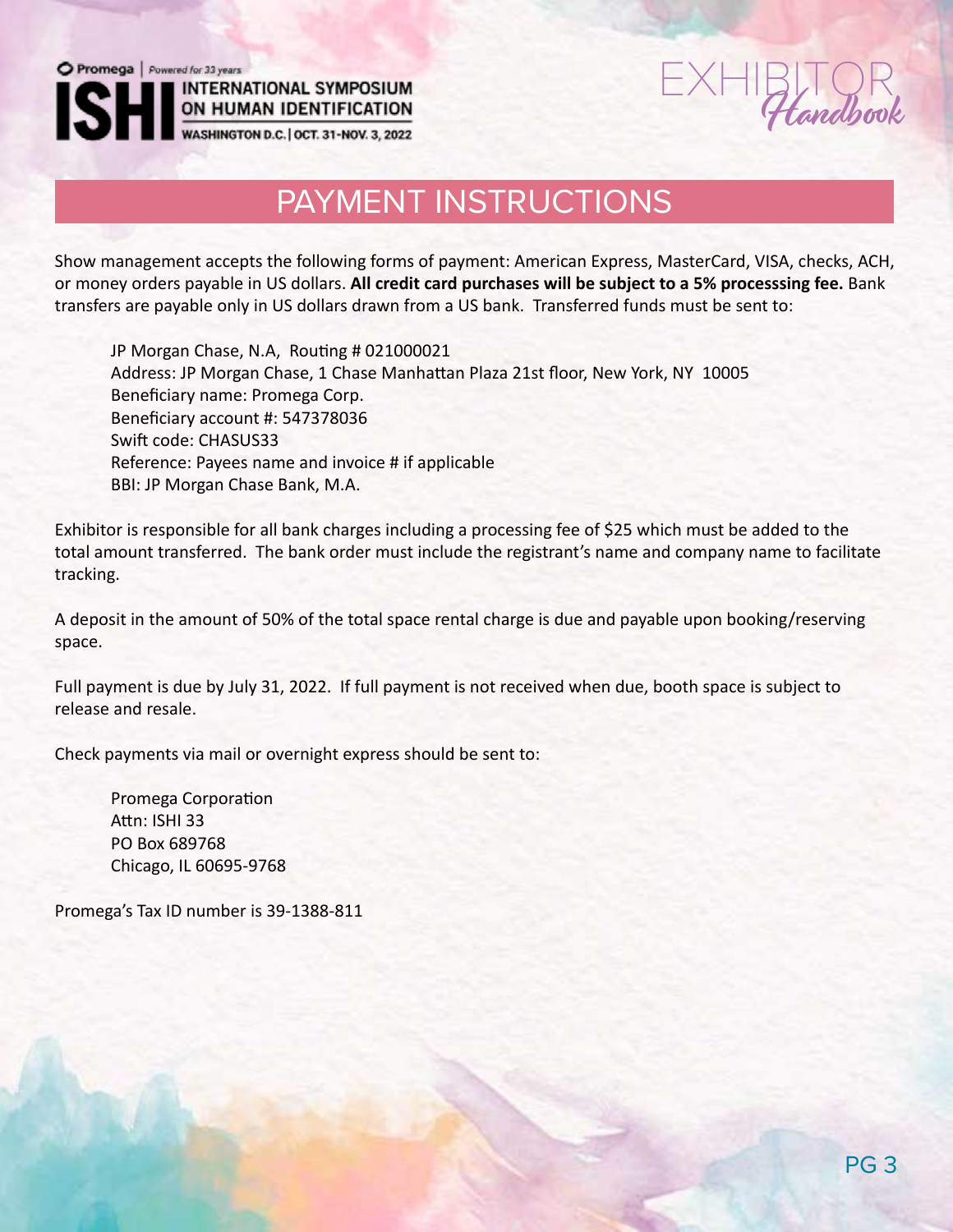Extendbook

# ON HUMAN IDENTIFICATION<br>WASHINGTON D.C. | OCT. 31-NOV. 3, 2022

**INTERNATIONAL SYMPOSIUM** 

## PAYMENT INSTRUCTIONS

Show management accepts the following forms of payment: American Express, MasterCard, VISA, checks, ACH, or money orders payable in US dollars. **All credit card purchases will be subject to a 5% processsing fee.** Bank transfers are payable only in US dollars drawn from a US bank. Transferred funds must be sent to:

JP Morgan Chase, N.A, Routing # 021000021 Address: JP Morgan Chase, 1 Chase Manhattan Plaza 21st floor, New York, NY 10005 Beneficiary name: Promega Corp. Beneficiary account #: 547378036 Swift code: CHASUS33 Reference: Payees name and invoice # if applicable BBI: JP Morgan Chase Bank, M.A.

Exhibitor is responsible for all bank charges including a processing fee of \$25 which must be added to the total amount transferred. The bank order must include the registrant's name and company name to facilitate tracking.

A deposit in the amount of 50% of the total space rental charge is due and payable upon booking/reserving space.

Full payment is due by July 31, 2022. If full payment is not received when due, booth space is subject to release and resale.

Check payments via mail or overnight express should be sent to:

Promega Corporation Attn: ISHI 33 PO Box 689768 Chicago, IL 60695-9768

Promega's Tax ID number is 39-1388-811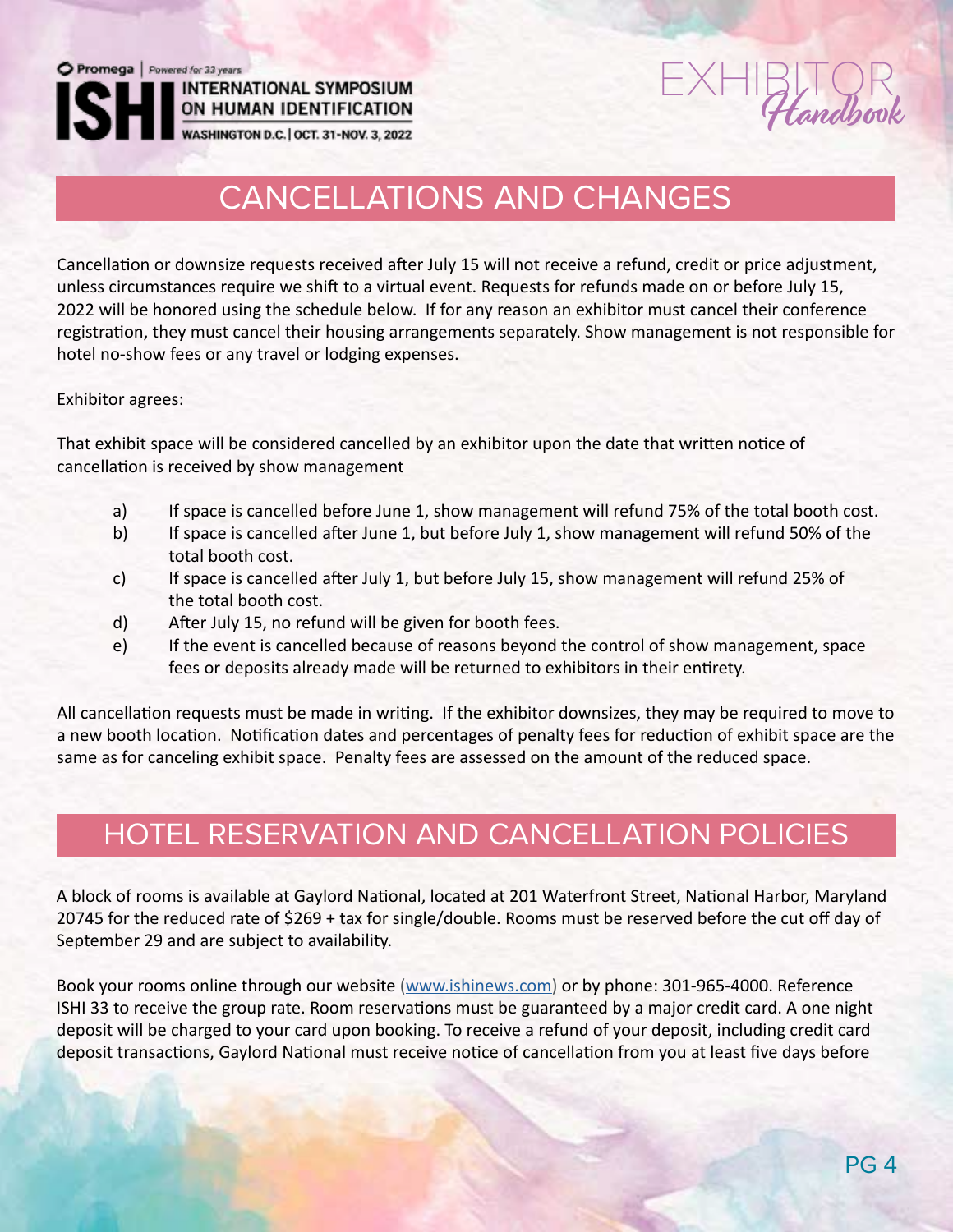# $EXHIBITQR$

ON HUMAN IDENTIFICATION WASHINGTON D.C. | OCT. 31-NOV. 3, 2022

**INTERNATIONAL SYMPOSIUM** 

## CANCELLATIONS AND CHANGES

Cancellation or downsize requests received after July 15 will not receive a refund, credit or price adjustment, unless circumstances require we shift to a virtual event. Requests for refunds made on or before July 15, 2022 will be honored using the schedule below. If for any reason an exhibitor must cancel their conference registration, they must cancel their housing arrangements separately. Show management is not responsible for hotel no-show fees or any travel or lodging expenses.

Exhibitor agrees:

That exhibit space will be considered cancelled by an exhibitor upon the date that written notice of cancellation is received by show management

- a) If space is cancelled before June 1, show management will refund 75% of the total booth cost.
- b) If space is cancelled after June 1, but before July 1, show management will refund 50% of the total booth cost.
- c) If space is cancelled after July 1, but before July 15, show management will refund 25% of the total booth cost.
- d) After July 15, no refund will be given for booth fees.
- e) If the event is cancelled because of reasons beyond the control of show management, space fees or deposits already made will be returned to exhibitors in their entirety.

All cancellation requests must be made in writing. If the exhibitor downsizes, they may be required to move to a new booth location. Notification dates and percentages of penalty fees for reduction of exhibit space are the same as for canceling exhibit space. Penalty fees are assessed on the amount of the reduced space.

### HOTEL RESERVATION AND CANCELLATION POLICIES

A block of rooms is available at Gaylord National, located at 201 Waterfront Street, National Harbor, Maryland 20745 for the reduced rate of \$269 + tax for single/double. Rooms must be reserved before the cut off day of September 29 and are subject to availability.

Book your rooms online through our website (www.ishinews.com) or by phone: 301-965-4000. Reference ISHI 33 to receive the group rate. Room reservations must be guaranteed by a major credit card. A one night deposit will be charged to your card upon booking. To receive a refund of your deposit, including credit card deposit transactions, Gaylord National must receive notice of cancellation from you at least five days before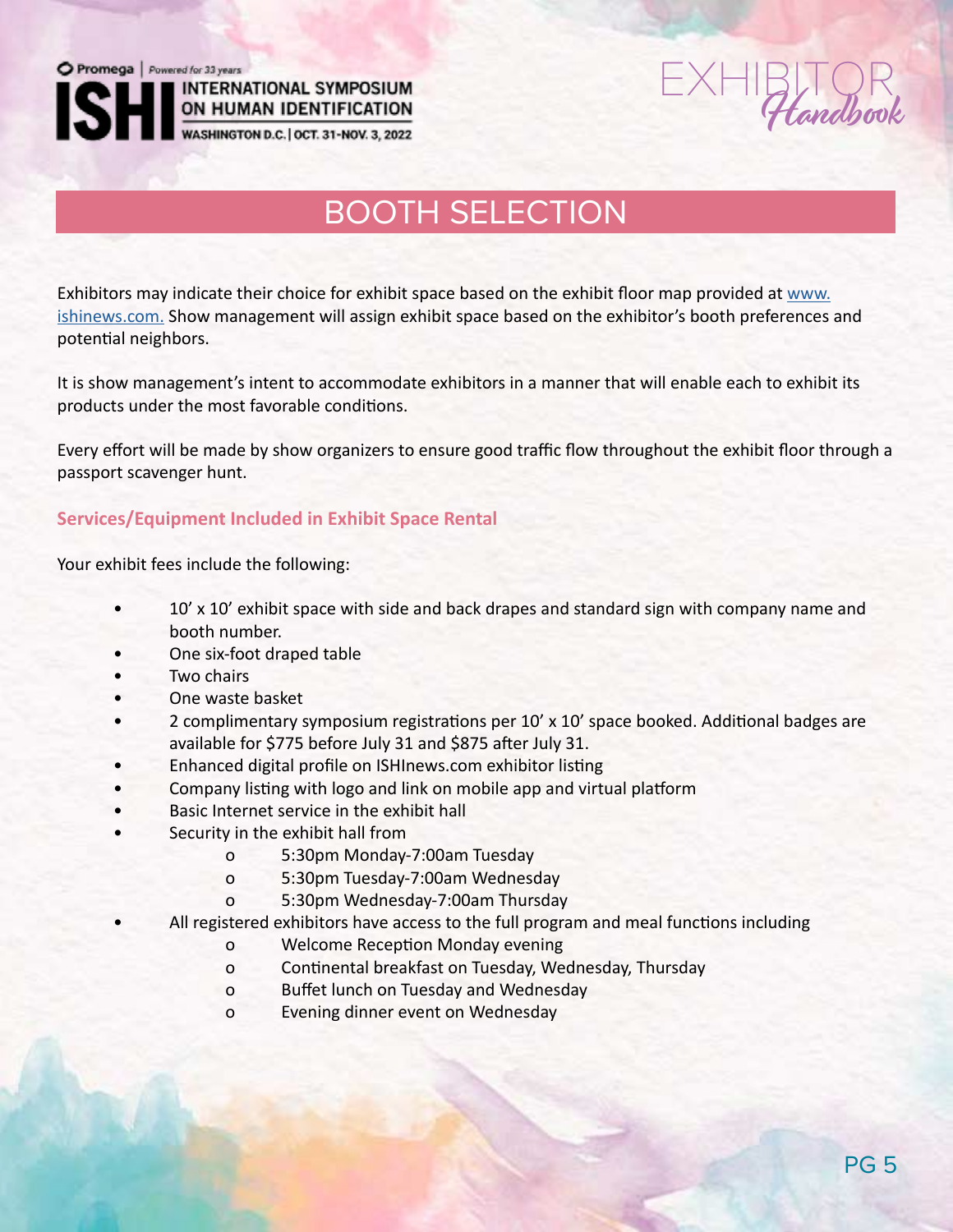Promega | Powered for 33 years **INTERNATIONAL SYMPOSIUM** 

**ON HUMAN IDENTIFICATION**<br>WASHINGTON D.C. | OCT. 31-NOV. 3, 2022

andbook

## BOOTH SELECTION

Exhibitors may indicate their choice for exhibit space based on the exhibit floor map provided at www. ishinews.com. Show management will assign exhibit space based on the exhibitor's booth preferences and potential neighbors.

It is show management's intent to accommodate exhibitors in a manner that will enable each to exhibit its products under the most favorable conditions.

Every effort will be made by show organizers to ensure good traffic flow throughout the exhibit floor through a passport scavenger hunt.

#### **Services/Equipment Included in Exhibit Space Rental**

Your exhibit fees include the following:

- 10' x 10' exhibit space with side and back drapes and standard sign with company name and booth number.
- One six-foot draped table
- Two chairs
- One waste basket
- 2 complimentary symposium registrations per 10' x 10' space booked. Additional badges are available for \$775 before July 31 and \$875 after July 31.
- Enhanced digital profile on ISHInews.com exhibitor listing
- Company listing with logo and link on mobile app and virtual platform
- Basic Internet service in the exhibit hall
- Security in the exhibit hall from
	- o 5:30pm Monday-7:00am Tuesday
	- o 5:30pm Tuesday-7:00am Wednesday
	- o 5:30pm Wednesday-7:00am Thursday
	- All registered exhibitors have access to the full program and meal functions including
		- o Welcome Reception Monday evening
		- o Continental breakfast on Tuesday, Wednesday, Thursday
		- o Buffet lunch on Tuesday and Wednesday
		- o Evening dinner event on Wednesday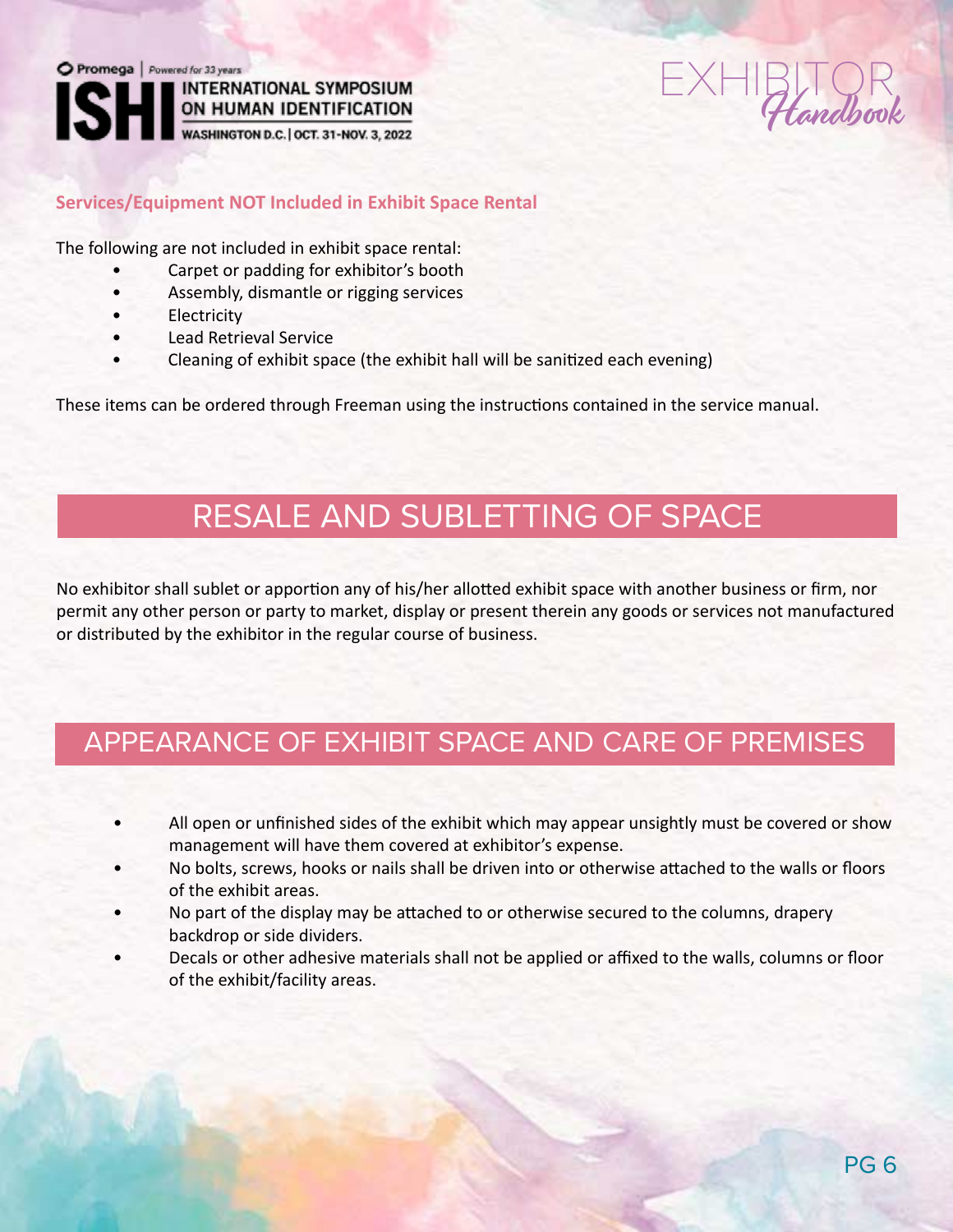



#### **Services/Equipment NOT Included in Exhibit Space Rental**

The following are not included in exhibit space rental:

- Carpet or padding for exhibitor's booth
- Assembly, dismantle or rigging services
- Electricity
- Lead Retrieval Service
- Cleaning of exhibit space (the exhibit hall will be sanitized each evening)

These items can be ordered through Freeman using the instructions contained in the service manual.

### RESALE AND SUBLETTING OF SPACE

No exhibitor shall sublet or apportion any of his/her allotted exhibit space with another business or firm, nor permit any other person or party to market, display or present therein any goods or services not manufactured or distributed by the exhibitor in the regular course of business.

### APPEARANCE OF EXHIBIT SPACE AND CARE OF PREMISES

- All open or unfinished sides of the exhibit which may appear unsightly must be covered or show management will have them covered at exhibitor's expense.
- No bolts, screws, hooks or nails shall be driven into or otherwise attached to the walls or floors of the exhibit areas.
- No part of the display may be attached to or otherwise secured to the columns, drapery backdrop or side dividers.
- Decals or other adhesive materials shall not be applied or affixed to the walls, columns or floor of the exhibit/facility areas.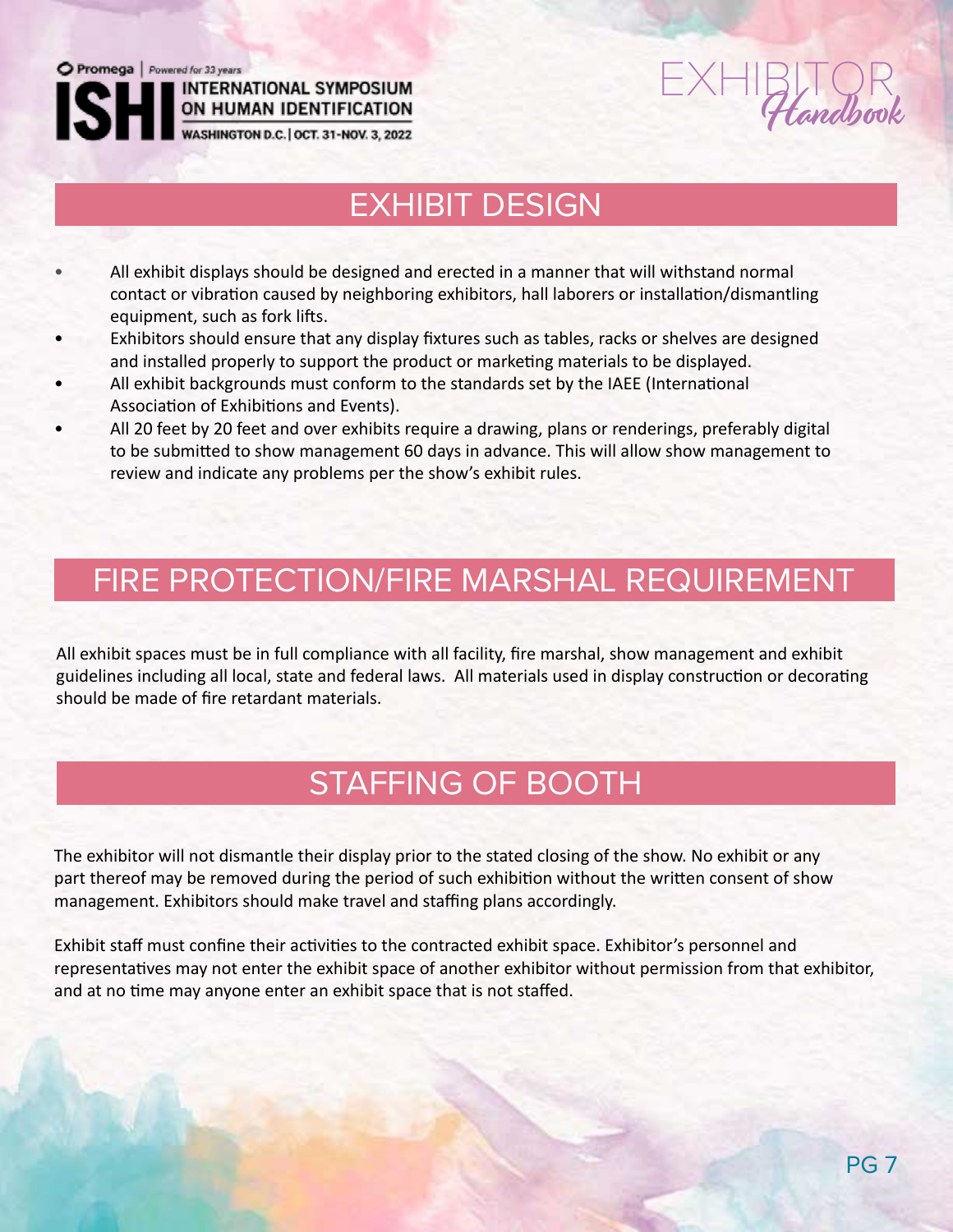

# $EXHIBITQR$

**INTERNATIONAL SYMPOSIUM** 

## EXHIBIT DESIGN

- All exhibit displays should be designed and erected in a manner that will withstand normal contact or vibration caused by neighboring exhibitors, hall laborers or installation/dismantling equipment, such as fork lifts.
- Exhibitors should ensure that any display fixtures such as tables, racks or shelves are designed and installed properly to support the product or marketing materials to be displayed.
- All exhibit backgrounds must conform to the standards set by the IAEE (International Association of Exhibitions and Events).
- All 20 feet by 20 feet and over exhibits require a drawing, plans or renderings, preferably digital to be submitted to show management 60 days in advance. This will allow show management to review and indicate any problems per the show's exhibit rules.

# FIRE PROTECTION/FIRE MARSHAL REQUIREMENT

All exhibit spaces must be in full compliance with all facility, fire marshal, show management and exhibit guidelines including all local, state and federal laws. All materials used in display construction or decorating should be made of fire retardant materials.

# STAFFING OF BOOTH

The exhibitor will not dismantle their display prior to the stated closing of the show. No exhibit or any part thereof may be removed during the period of such exhibition without the written consent of show management. Exhibitors should make travel and staffing plans accordingly.

Exhibit staff must confine their activities to the contracted exhibit space. Exhibitor's personnel and representatives may not enter the exhibit space of another exhibitor without permission from that exhibitor, and at no time may anyone enter an exhibit space that is not staffed.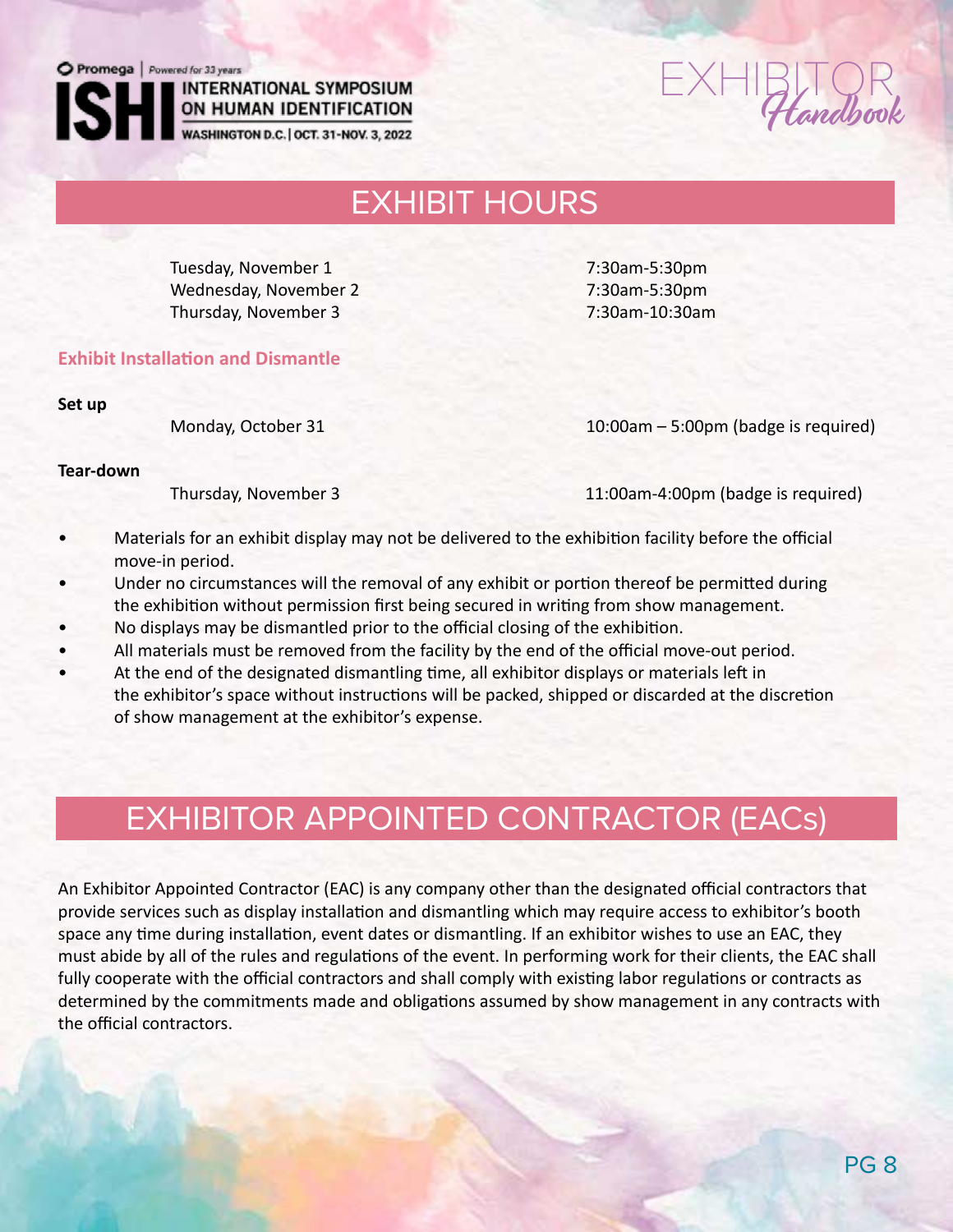### **INTERNATIONAL SYMPOSIUM** ON HUMAN IDENTIFICATION

WASHINGTON D.C. | OCT. 31-NOV. 3, 2022

 $EXHIBITQR$ 

### EXHIBIT HOURS

Tuesday, November 1 7:30am-5:30pm Wednesday, November 2 7:30am-5:30pm Thursday, November 3 7:30am-10:30am

**Exhibit Installation and Dismantle**

**Set up**

Monday, October 31 10:00am – 5:00pm (badge is required)

**Tear-down**

Thursday, November 3 11:00am-4:00pm (badge is required)

- Materials for an exhibit display may not be delivered to the exhibition facility before the official move-in period.
- Under no circumstances will the removal of any exhibit or portion thereof be permitted during the exhibition without permission first being secured in writing from show management.
- No displays may be dismantled prior to the official closing of the exhibition.
- All materials must be removed from the facility by the end of the official move-out period.
- At the end of the designated dismantling time, all exhibitor displays or materials left in the exhibitor's space without instructions will be packed, shipped or discarded at the discretion of show management at the exhibitor's expense.

# EXHIBITOR APPOINTED CONTRACTOR (EACs)

An Exhibitor Appointed Contractor (EAC) is any company other than the designated official contractors that provide services such as display installation and dismantling which may require access to exhibitor's booth space any time during installation, event dates or dismantling. If an exhibitor wishes to use an EAC, they must abide by all of the rules and regulations of the event. In performing work for their clients, the EAC shall fully cooperate with the official contractors and shall comply with existing labor regulations or contracts as determined by the commitments made and obligations assumed by show management in any contracts with the official contractors.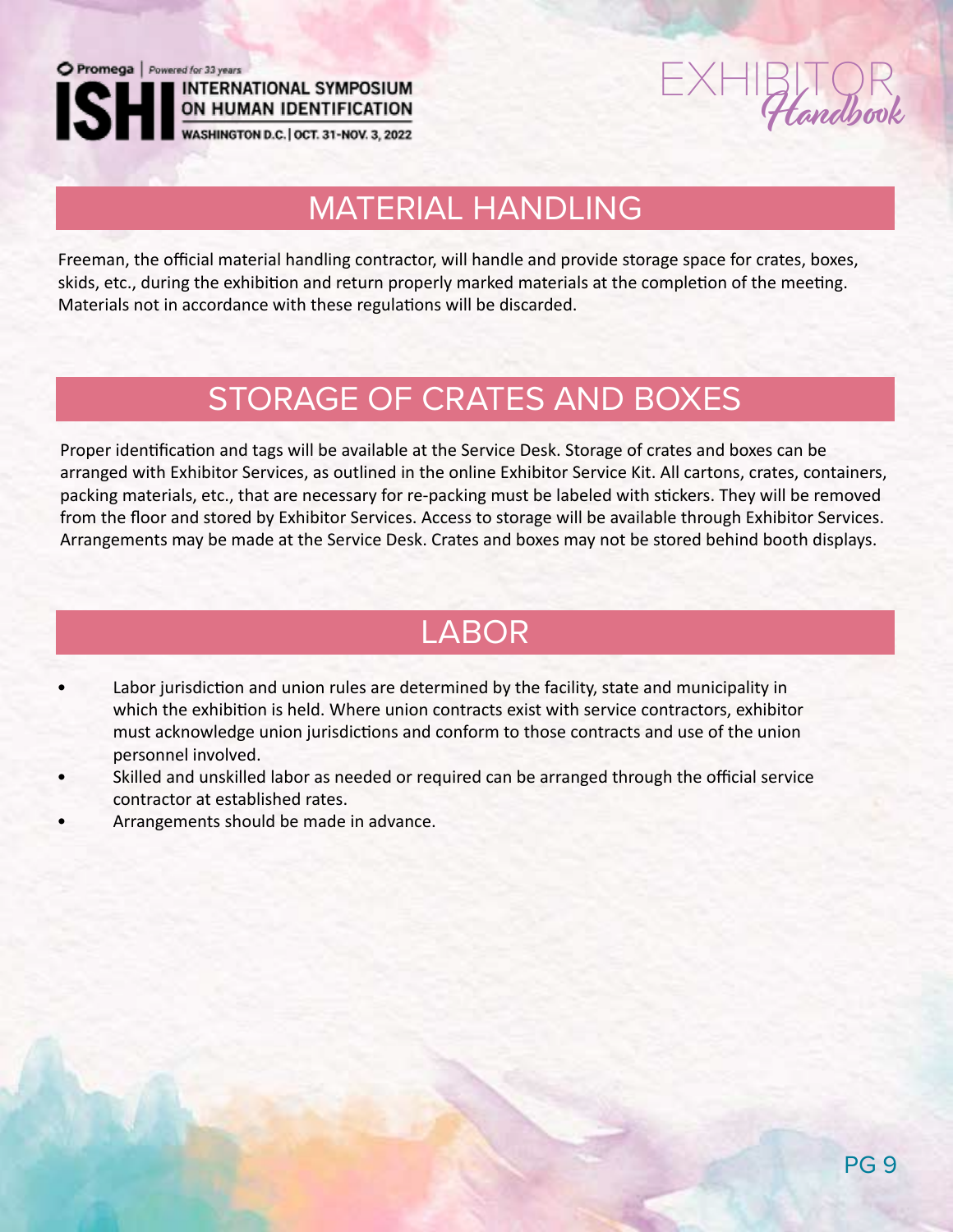

ON HUMAN IDENTIFICATION

WASHINGTON D.C. | OCT. 31-NOV. 3, 2022

 $EXHIBITQR$ 

# MATERIAL HANDLING

Freeman, the official material handling contractor, will handle and provide storage space for crates, boxes, skids, etc., during the exhibition and return properly marked materials at the completion of the meeting. Materials not in accordance with these regulations will be discarded.

## STORAGE OF CRATES AND BOXES

Proper identification and tags will be available at the Service Desk. Storage of crates and boxes can be arranged with Exhibitor Services, as outlined in the online Exhibitor Service Kit. All cartons, crates, containers, packing materials, etc., that are necessary for re-packing must be labeled with stickers. They will be removed from the floor and stored by Exhibitor Services. Access to storage will be available through Exhibitor Services. Arrangements may be made at the Service Desk. Crates and boxes may not be stored behind booth displays.

### LABOR

- Labor jurisdiction and union rules are determined by the facility, state and municipality in which the exhibition is held. Where union contracts exist with service contractors, exhibitor must acknowledge union jurisdictions and conform to those contracts and use of the union personnel involved.
- Skilled and unskilled labor as needed or required can be arranged through the official service contractor at established rates.
- Arrangements should be made in advance.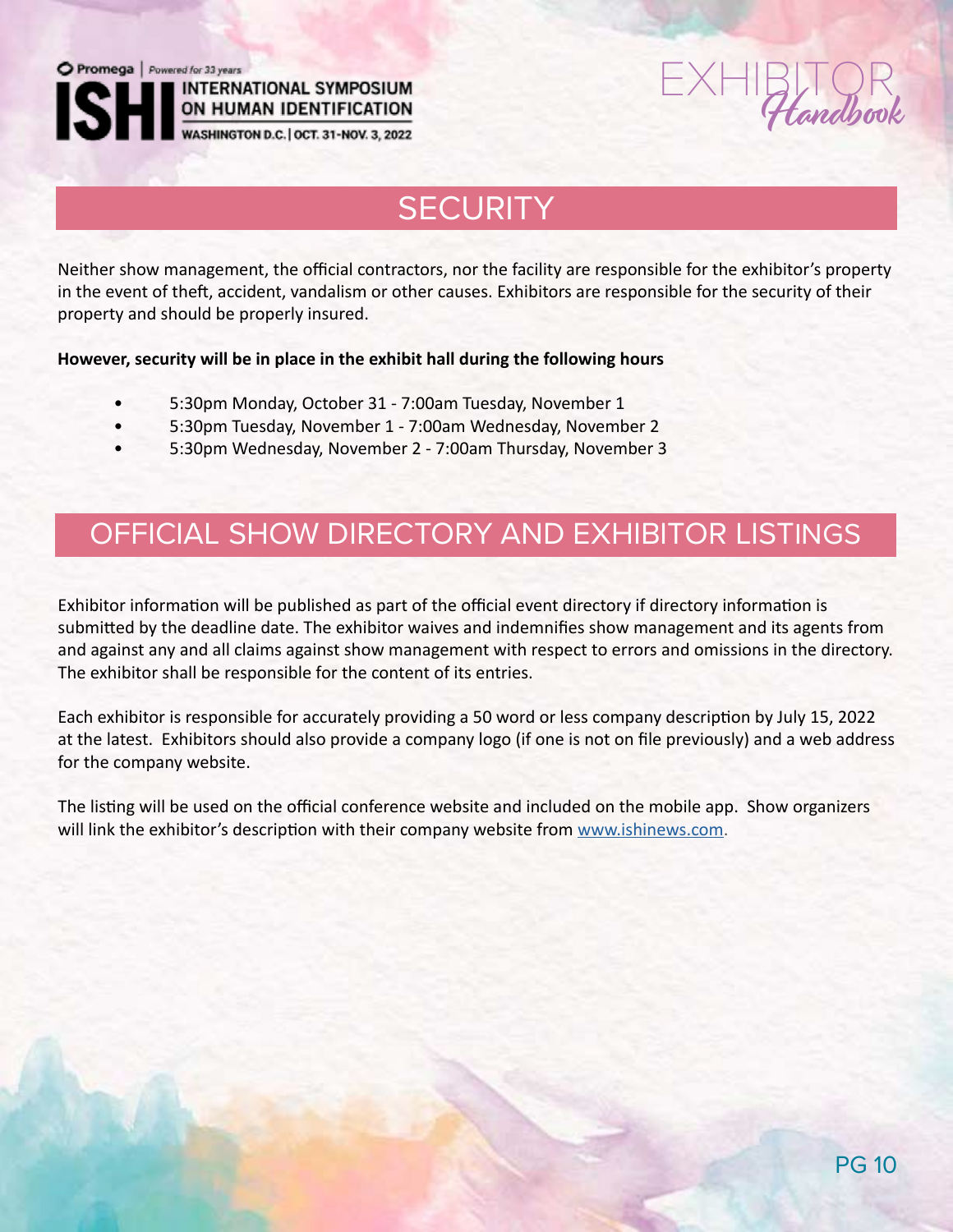**INTERNATIONAL SYMPOSIUM** ON HUMAN IDENTIFICATION<br>WASHINGTON D.C. | OCT. 31-NOV. 3, 2022

# andhand

# **SECURITY**

Neither show management, the official contractors, nor the facility are responsible for the exhibitor's property in the event of theft, accident, vandalism or other causes. Exhibitors are responsible for the security of their property and should be properly insured.

**However, security will be in place in the exhibit hall during the following hours**

- 5:30pm Monday, October 31 7:00am Tuesday, November 1
- 5:30pm Tuesday, November 1 7:00am Wednesday, November 2
- 5:30pm Wednesday, November 2 7:00am Thursday, November 3

### OFFICIAL SHOW DIRECTORY AND EXHIBITOR LISTINGS

Exhibitor information will be published as part of the official event directory if directory information is submitted by the deadline date. The exhibitor waives and indemnifies show management and its agents from and against any and all claims against show management with respect to errors and omissions in the directory. The exhibitor shall be responsible for the content of its entries.

Each exhibitor is responsible for accurately providing a 50 word or less company description by July 15, 2022 at the latest. Exhibitors should also provide a company logo (if one is not on file previously) and a web address for the company website.

The listing will be used on the official conference website and included on the mobile app. Show organizers will link the exhibitor's description with their company website from www.ishinews.com.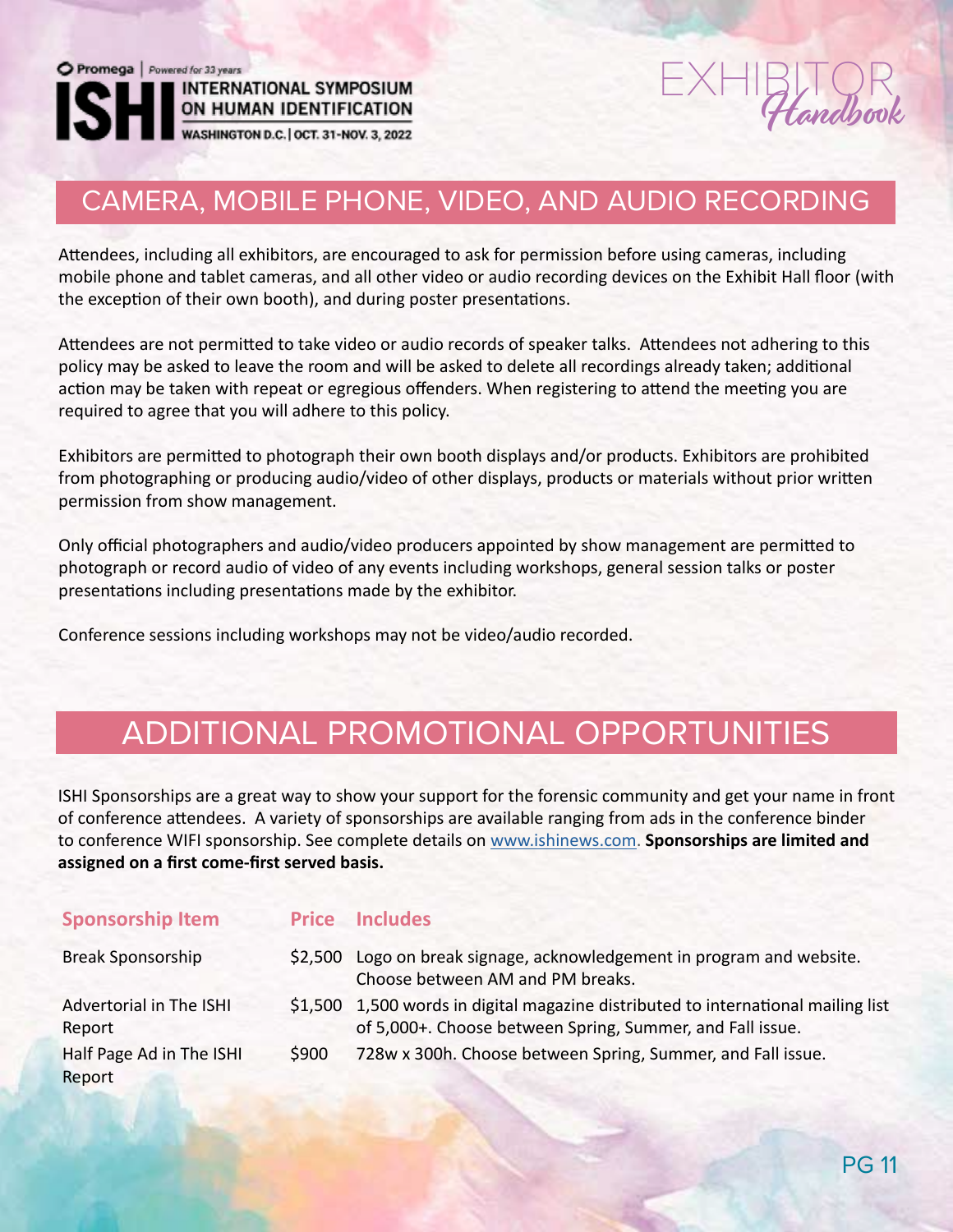

# $E_{\text{total}}$

### CAMERA, MOBILE PHONE, VIDEO, AND AUDIO RECORDING

Attendees, including all exhibitors, are encouraged to ask for permission before using cameras, including mobile phone and tablet cameras, and all other video or audio recording devices on the Exhibit Hall floor (with the exception of their own booth), and during poster presentations.

Attendees are not permitted to take video or audio records of speaker talks. Attendees not adhering to this policy may be asked to leave the room and will be asked to delete all recordings already taken; additional action may be taken with repeat or egregious offenders. When registering to attend the meeting you are required to agree that you will adhere to this policy.

Exhibitors are permitted to photograph their own booth displays and/or products. Exhibitors are prohibited from photographing or producing audio/video of other displays, products or materials without prior written permission from show management.

Only official photographers and audio/video producers appointed by show management are permitted to photograph or record audio of video of any events including workshops, general session talks or poster presentations including presentations made by the exhibitor.

Conference sessions including workshops may not be video/audio recorded.

### ADDITIONAL PROMOTIONAL OPPORTUNITIES

ISHI Sponsorships are a great way to show your support for the forensic community and get your name in front of conference attendees. A variety of sponsorships are available ranging from ads in the conference binder to conference WIFI sponsorship. See complete details on www.ishinews.com. **Sponsorships are limited and assigned on a first come-first served basis.**

| <b>Sponsorship Item</b>            |         | <b>Price Includes</b>                                                                                                                          |
|------------------------------------|---------|------------------------------------------------------------------------------------------------------------------------------------------------|
| <b>Break Sponsorship</b>           | \$2,500 | Logo on break signage, acknowledgement in program and website.<br>Choose between AM and PM breaks.                                             |
| Advertorial in The ISHI<br>Report  |         | \$1,500 1,500 words in digital magazine distributed to international mailing list<br>of 5,000+. Choose between Spring, Summer, and Fall issue. |
| Half Page Ad in The ISHI<br>Report | \$900   | 728w x 300h. Choose between Spring, Summer, and Fall issue.                                                                                    |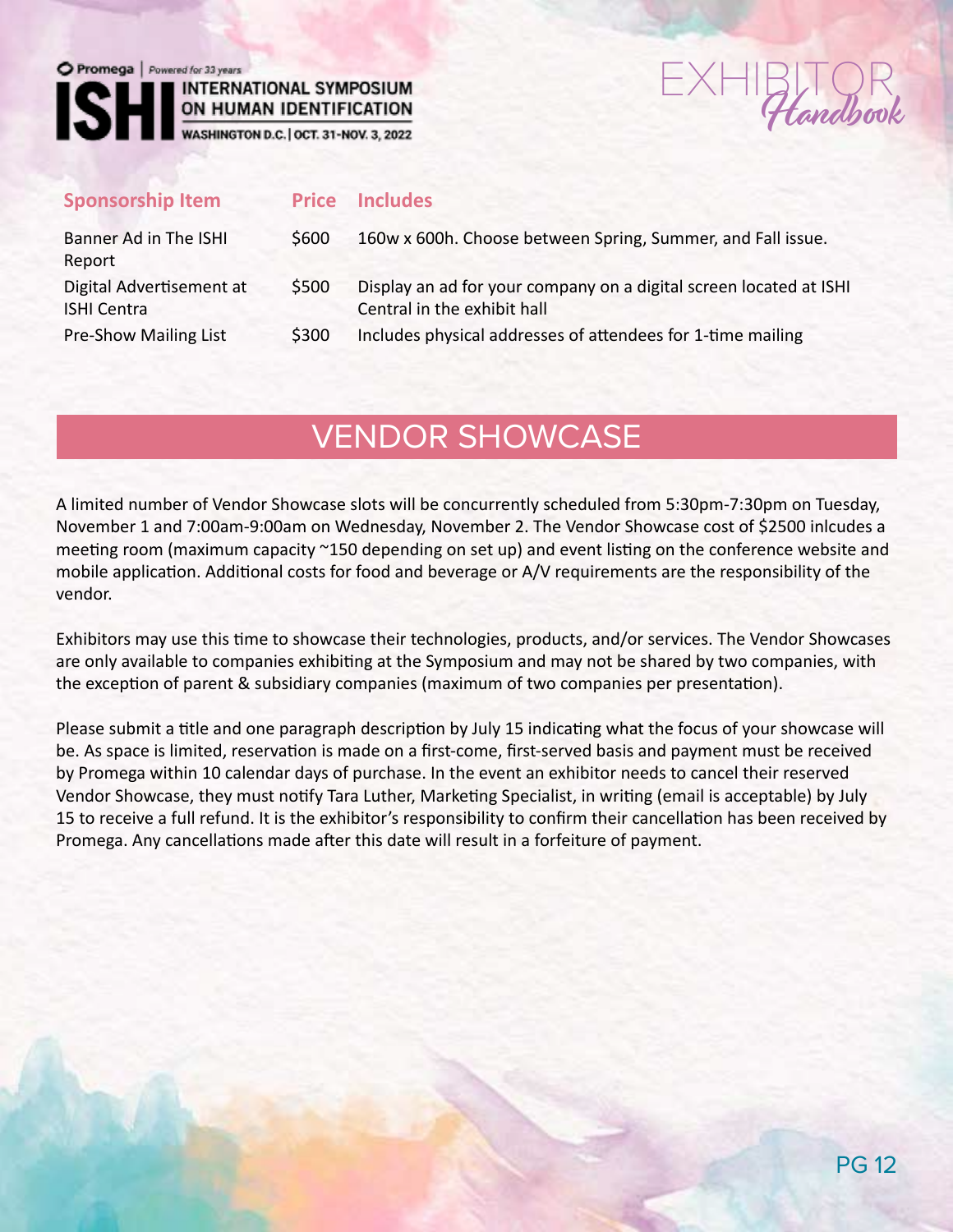

# $\sum_{\text{andhom}}$

ON HUMAN IDENTIFICATION<br>WASHINGTON D.C. | OCT. 31-NOV. 3, 2022

| <b>Sponsorship Item</b>                        |       | <b>Price Includes</b>                                                                             |
|------------------------------------------------|-------|---------------------------------------------------------------------------------------------------|
| Banner Ad in The ISHI<br>Report                | \$600 | 160w x 600h. Choose between Spring, Summer, and Fall issue.                                       |
| Digital Advertisement at<br><b>ISHI Centra</b> | \$500 | Display an ad for your company on a digital screen located at ISHI<br>Central in the exhibit hall |
| <b>Pre-Show Mailing List</b>                   | \$300 | Includes physical addresses of attendees for 1-time mailing                                       |

### VENDOR SHOWCASE

A limited number of Vendor Showcase slots will be concurrently scheduled from 5:30pm-7:30pm on Tuesday, November 1 and 7:00am-9:00am on Wednesday, November 2. The Vendor Showcase cost of \$2500 inlcudes a meeting room (maximum capacity ~150 depending on set up) and event listing on the conference website and mobile application. Additional costs for food and beverage or A/V requirements are the responsibility of the vendor.

Exhibitors may use this time to showcase their technologies, products, and/or services. The Vendor Showcases are only available to companies exhibiting at the Symposium and may not be shared by two companies, with the exception of parent & subsidiary companies (maximum of two companies per presentation).

Please submit a title and one paragraph description by July 15 indicating what the focus of your showcase will be. As space is limited, reservation is made on a first-come, first-served basis and payment must be received by Promega within 10 calendar days of purchase. In the event an exhibitor needs to cancel their reserved Vendor Showcase, they must notify Tara Luther, Marketing Specialist, in writing (email is acceptable) by July 15 to receive a full refund. It is the exhibitor's responsibility to confirm their cancellation has been received by Promega. Any cancellations made after this date will result in a forfeiture of payment.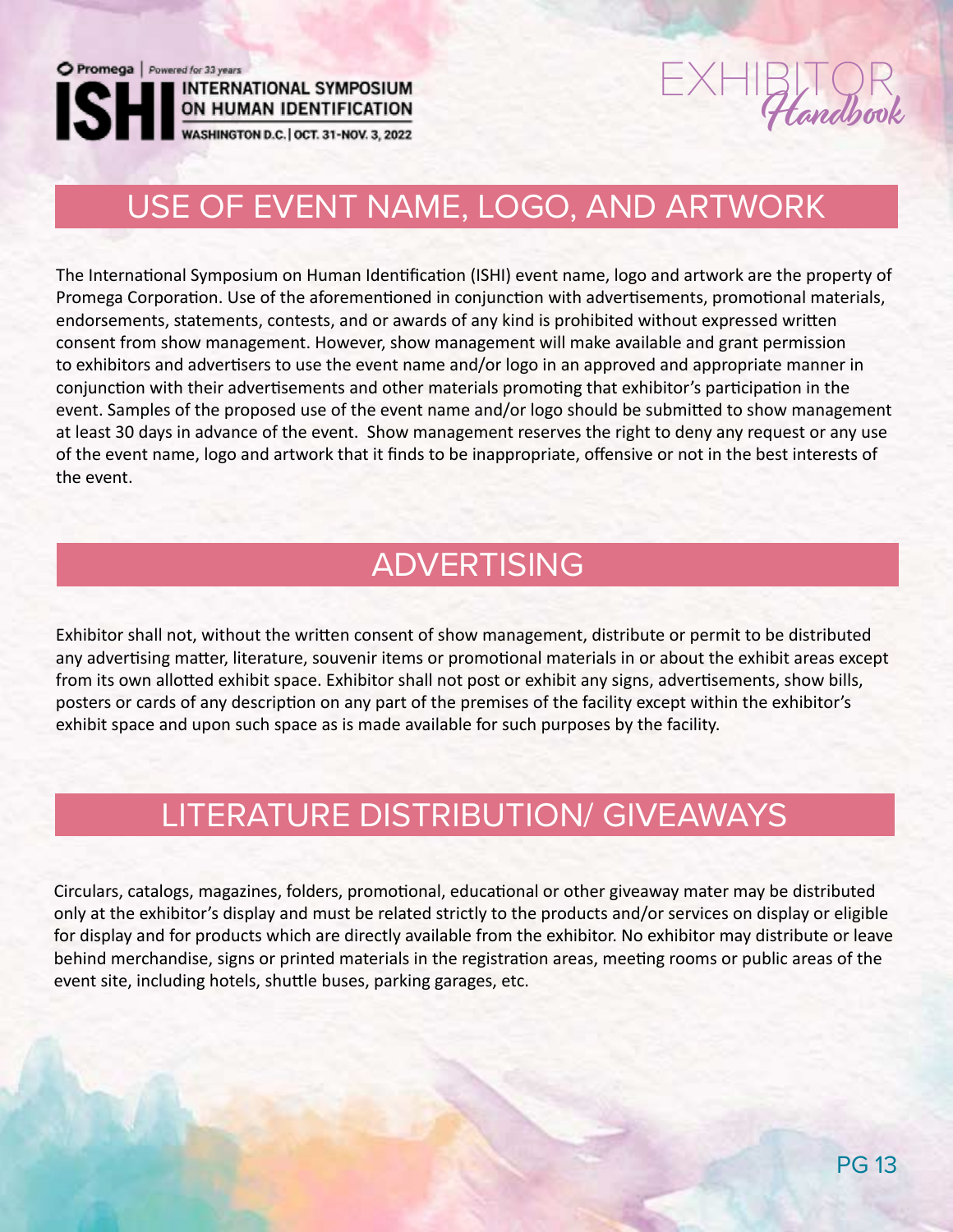

**INTERNATIONAL SYMPOSIUM** 

# $EXHIBITQR$

# USE OF EVENT NAME, LOGO, AND ARTWORK

The International Symposium on Human Identification (ISHI) event name, logo and artwork are the property of Promega Corporation. Use of the aforementioned in conjunction with advertisements, promotional materials, endorsements, statements, contests, and or awards of any kind is prohibited without expressed written consent from show management. However, show management will make available and grant permission to exhibitors and advertisers to use the event name and/or logo in an approved and appropriate manner in conjunction with their advertisements and other materials promoting that exhibitor's participation in the event. Samples of the proposed use of the event name and/or logo should be submitted to show management at least 30 days in advance of the event. Show management reserves the right to deny any request or any use of the event name, logo and artwork that it finds to be inappropriate, offensive or not in the best interests of the event.

### ADVERTISING

Exhibitor shall not, without the written consent of show management, distribute or permit to be distributed any advertising matter, literature, souvenir items or promotional materials in or about the exhibit areas except from its own allotted exhibit space. Exhibitor shall not post or exhibit any signs, advertisements, show bills, posters or cards of any description on any part of the premises of the facility except within the exhibitor's exhibit space and upon such space as is made available for such purposes by the facility.

### LITERATURE DISTRIBUTION/ GIVEAWAYS

Circulars, catalogs, magazines, folders, promotional, educational or other giveaway mater may be distributed only at the exhibitor's display and must be related strictly to the products and/or services on display or eligible for display and for products which are directly available from the exhibitor. No exhibitor may distribute or leave behind merchandise, signs or printed materials in the registration areas, meeting rooms or public areas of the event site, including hotels, shuttle buses, parking garages, etc.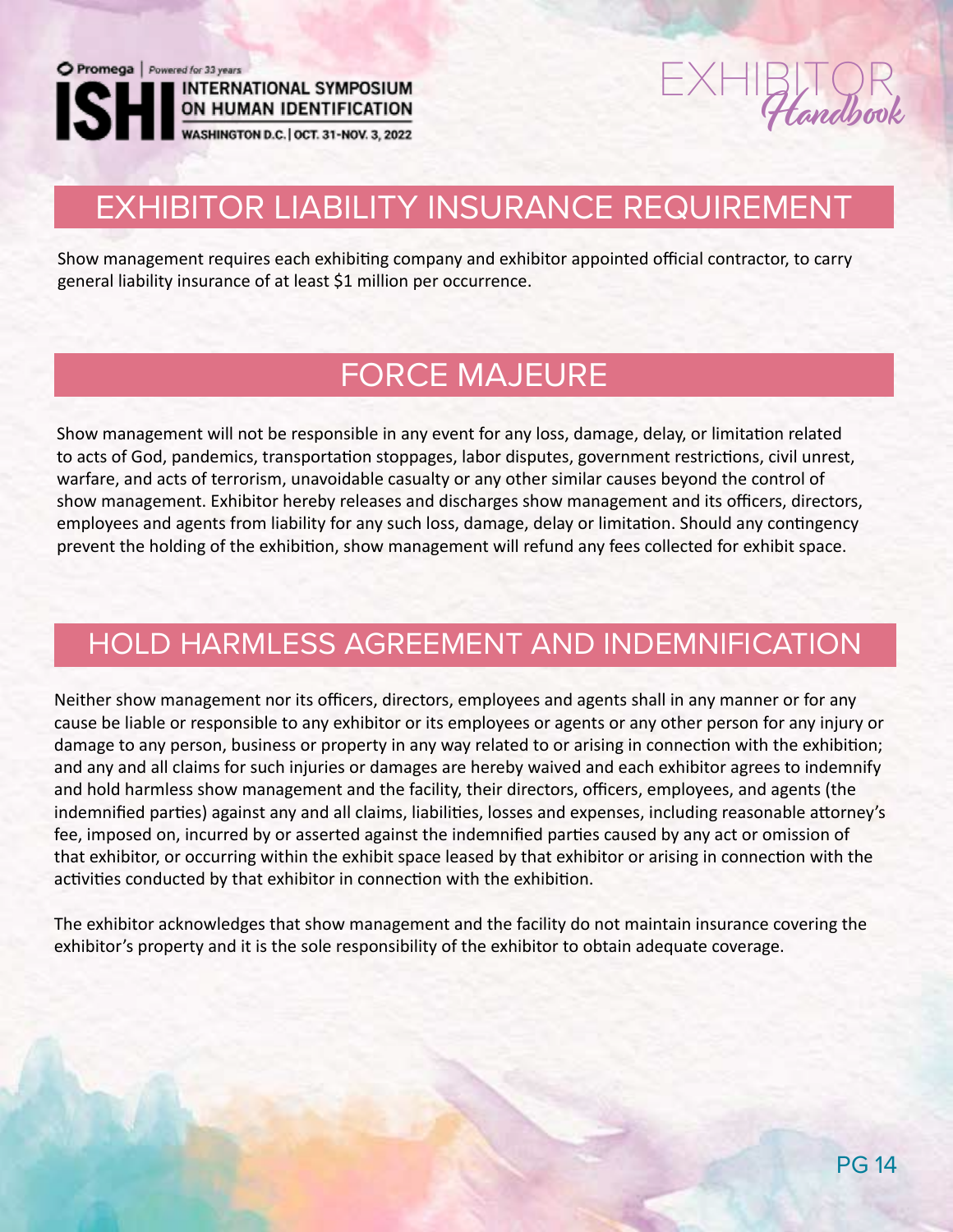ON HUMAN IDENTIFICATION<br>WASHINGTON D.C. | OCT. 31-NOV. 3, 2022



# EXHIBITOR LIABILITY INSURANCE REQUIREMENT

Show management requires each exhibiting company and exhibitor appointed official contractor, to carry general liability insurance of at least \$1 million per occurrence.

## FORCE MAJEURE

Show management will not be responsible in any event for any loss, damage, delay, or limitation related to acts of God, pandemics, transportation stoppages, labor disputes, government restrictions, civil unrest, warfare, and acts of terrorism, unavoidable casualty or any other similar causes beyond the control of show management. Exhibitor hereby releases and discharges show management and its officers, directors, employees and agents from liability for any such loss, damage, delay or limitation. Should any contingency prevent the holding of the exhibition, show management will refund any fees collected for exhibit space.

### HOLD HARMLESS AGREEMENT AND INDEMNIFICATION

Neither show management nor its officers, directors, employees and agents shall in any manner or for any cause be liable or responsible to any exhibitor or its employees or agents or any other person for any injury or damage to any person, business or property in any way related to or arising in connection with the exhibition; and any and all claims for such injuries or damages are hereby waived and each exhibitor agrees to indemnify and hold harmless show management and the facility, their directors, officers, employees, and agents (the indemnified parties) against any and all claims, liabilities, losses and expenses, including reasonable attorney's fee, imposed on, incurred by or asserted against the indemnified parties caused by any act or omission of that exhibitor, or occurring within the exhibit space leased by that exhibitor or arising in connection with the activities conducted by that exhibitor in connection with the exhibition.

The exhibitor acknowledges that show management and the facility do not maintain insurance covering the exhibitor's property and it is the sole responsibility of the exhibitor to obtain adequate coverage.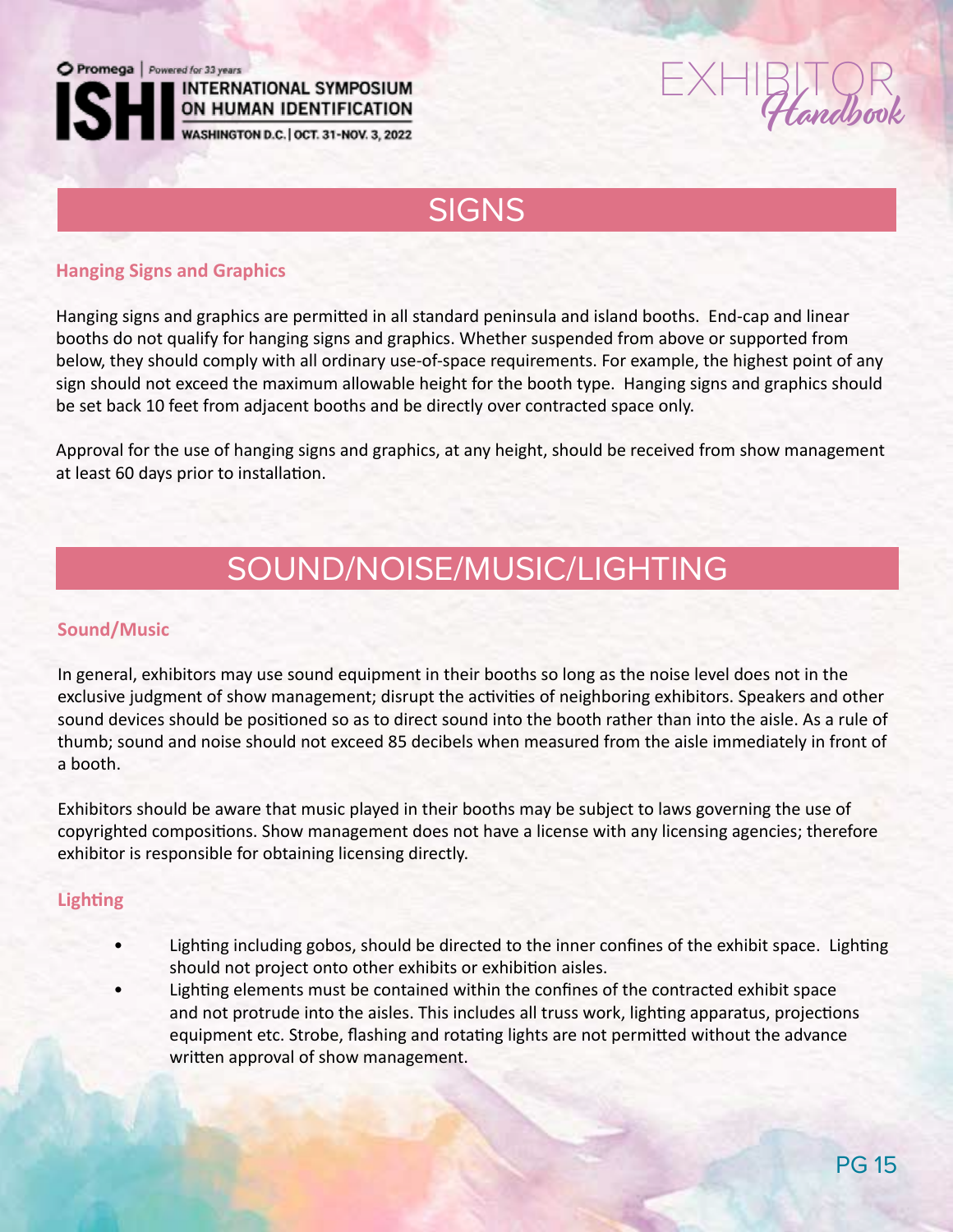**INTERNATIONAL SYMPOSIUM** ON HUMAN IDENTIFICATION

WASHINGTON D.C. | OCT. 31-NOV. 3, 2022



### SIGNS

#### **Hanging Signs and Graphics**

Hanging signs and graphics are permitted in all standard peninsula and island booths. End-cap and linear booths do not qualify for hanging signs and graphics. Whether suspended from above or supported from below, they should comply with all ordinary use-of-space requirements. For example, the highest point of any sign should not exceed the maximum allowable height for the booth type. Hanging signs and graphics should be set back 10 feet from adjacent booths and be directly over contracted space only.

Approval for the use of hanging signs and graphics, at any height, should be received from show management at least 60 days prior to installation.

# SOUND/NOISE/MUSIC/LIGHTING

#### **Sound/Music**

In general, exhibitors may use sound equipment in their booths so long as the noise level does not in the exclusive judgment of show management; disrupt the activities of neighboring exhibitors. Speakers and other sound devices should be positioned so as to direct sound into the booth rather than into the aisle. As a rule of thumb; sound and noise should not exceed 85 decibels when measured from the aisle immediately in front of a booth.

Exhibitors should be aware that music played in their booths may be subject to laws governing the use of copyrighted compositions. Show management does not have a license with any licensing agencies; therefore exhibitor is responsible for obtaining licensing directly.

#### **Lighting**

- Lighting including gobos, should be directed to the inner confines of the exhibit space. Lighting should not project onto other exhibits or exhibition aisles.
- Lighting elements must be contained within the confines of the contracted exhibit space and not protrude into the aisles. This includes all truss work, lighting apparatus, projections equipment etc. Strobe, flashing and rotating lights are not permitted without the advance written approval of show management.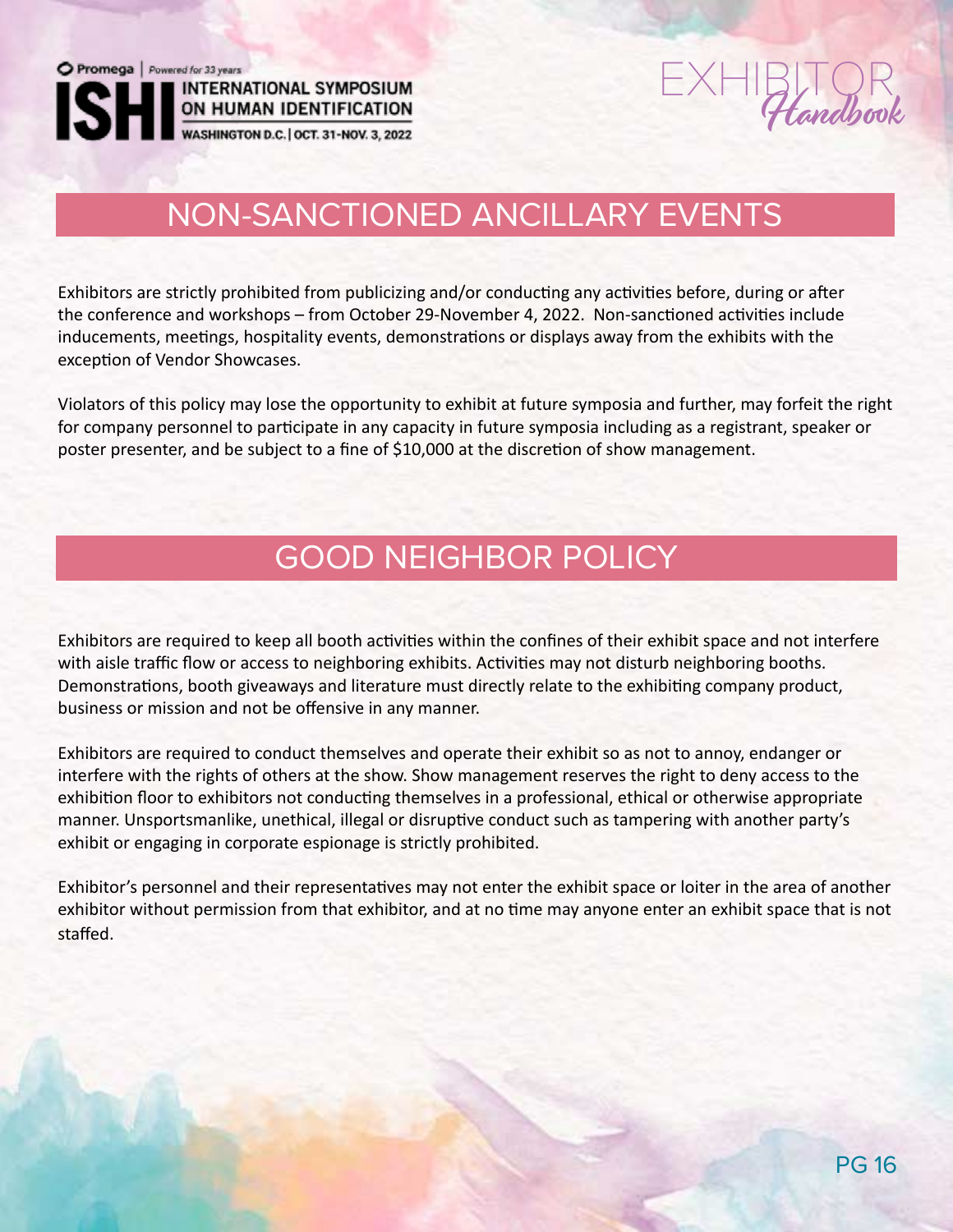Promega | Powered for 33 years **INTERNATIONAL SYMPOSIUM** ON HUMAN IDENTIFICATION<br>WASHINGTON D.C. | OCT. 31-NOV. 3, 2022

 $EXHIBITQR$ 

## NON-SANCTIONED ANCILLARY EVENTS

Exhibitors are strictly prohibited from publicizing and/or conducting any activities before, during or after the conference and workshops – from October 29-November 4, 2022. Non-sanctioned activities include inducements, meetings, hospitality events, demonstrations or displays away from the exhibits with the exception of Vendor Showcases.

Violators of this policy may lose the opportunity to exhibit at future symposia and further, may forfeit the right for company personnel to participate in any capacity in future symposia including as a registrant, speaker or poster presenter, and be subject to a fine of \$10,000 at the discretion of show management.

## GOOD NEIGHBOR POLICY

Exhibitors are required to keep all booth activities within the confines of their exhibit space and not interfere with aisle traffic flow or access to neighboring exhibits. Activities may not disturb neighboring booths. Demonstrations, booth giveaways and literature must directly relate to the exhibiting company product, business or mission and not be offensive in any manner.

Exhibitors are required to conduct themselves and operate their exhibit so as not to annoy, endanger or interfere with the rights of others at the show. Show management reserves the right to deny access to the exhibition floor to exhibitors not conducting themselves in a professional, ethical or otherwise appropriate manner. Unsportsmanlike, unethical, illegal or disruptive conduct such as tampering with another party's exhibit or engaging in corporate espionage is strictly prohibited.

Exhibitor's personnel and their representatives may not enter the exhibit space or loiter in the area of another exhibitor without permission from that exhibitor, and at no time may anyone enter an exhibit space that is not staffed.